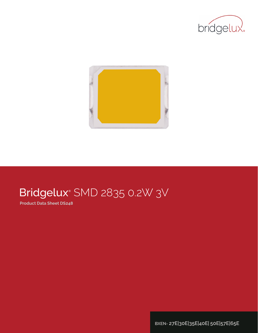



# Bridgelux® SMD 2835 0.2W 3V

**Product Data Sheet DS248**

**BXEN- 27E|30E|35E|40E| 50E|57E|65E**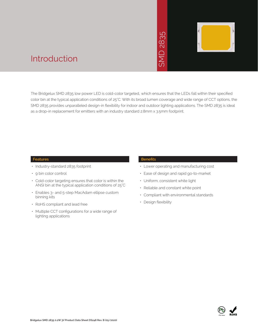# 2835  $\overline{\bigcap}$ **INS**



### Introduction

The Bridgelux SMD 2835 low power LED is cold-color targeted, which ensures that the LEDs fall within their specified color bin at the typical application conditions of 25°C. With its broad lumen coverage and wide range of CCT options, the SMD 2835 provides unparalleled design-in flexibility for indoor and outdoor lighting applications. The SMD 2835 is ideal as a drop-in replacement for emitters with an industry standard 2.8mm x 3.5mm footprint. • Manuscript<br>
• Manuscript<br>
• Manuscript<br>
• Design X 3.5mm for<br>
• Design and Constant<br>
• Constant With e<br>
• Compliant with e<br>
• Design flexibility<br>
• Design flexibility<br>
• Design flexibility

#### **Features**

- Industry-standard 2835 footprint
- 9 bin color control
- Cold-color targeting ensures that color is within the ANSI bin at the typical application conditions of 25°C
- Enables 3- and 5-step MacAdam ellipse custom binning kits
- RoHS compliant and lead free
- Multiple CCT configurations for a wide range of lighting applications

#### **Benefits**

- Lower operating and manufacturing cost
- Ease of design and rapid go-to-market
- Uniform, consistent white light
- Reliable and constant white point
- Compliant with environmental standards
- · Design flexibility

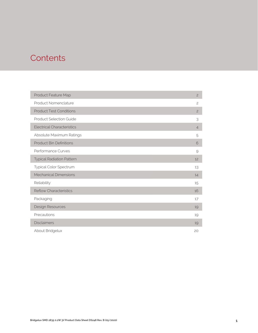### **Contents**

| Product Feature Map               | $\overline{c}$ |
|-----------------------------------|----------------|
| Product Nomenclature              | $\overline{c}$ |
| <b>Product Test Conditions</b>    | $\overline{c}$ |
| <b>Product Selection Guide</b>    | 3              |
| <b>Electrical Characteristics</b> | $\overline{4}$ |
| Absolute Maximum Ratings          | 5              |
| <b>Product Bin Definitions</b>    | 6              |
| Performance Curves                | 9              |
| <b>Typical Radiation Pattern</b>  | 12             |
| Typical Color Spectrum            | 13             |
| <b>Mechanical Dimensions</b>      | 14             |
| Reliability                       | 15             |
| <b>Reflow Characteristics</b>     | 16             |
| Packaging                         | 17             |
| Design Resources                  | 19             |
| Precautions                       | 19             |
| <b>Disclaimers</b>                | 19             |
| About Bridgelux                   | 20             |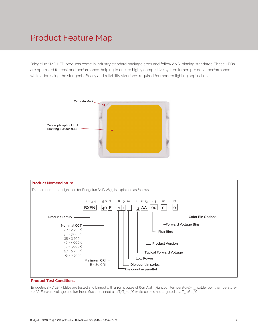### Product Feature Map

Bridgelux SMD LED products come in industry standard package sizes and follow ANSI binning standards. These LEDs are optimized for cost and performance, helping to ensure highly competitive system lumen per dollar performance while addressing the stringent efficacy and reliability standards required for modern lighting applications.





#### **Product Test Conditions**

Bridgelux SMD 2835 LEDs are tested and binned with a 10ms pulse of 60mA at T<sub>j</sub> (junction temperature)=T<sub>sp</sub> (solder point temperature) =25°C. Forward voltage and luminous flux are binned at a  $T_{\rm j}$ = $T_{\rm sp}$ =25°C.while color is hot targeted at a  $T_{\rm sp}$  of 25°C.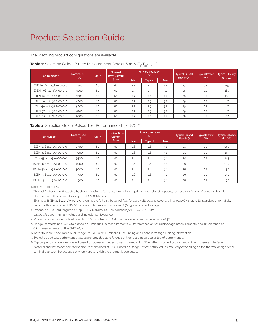### Product Selection Guide

The following product configurations are available:

| Part Number <sup>1,6</sup> | Nominal CCT <sup>2</sup><br>(K) | CRI3.5 | <b>Nominal</b><br><b>Drive Current</b> |     | <b>Forward Voltage4.5</b><br>(V) |            | <b>Typical Pulsed</b><br>$Flux$ (lm) $4.5$ | <b>Typical Power</b><br>(W) | <b>Typical Efficacy</b><br>(lm/W) |
|----------------------------|---------------------------------|--------|----------------------------------------|-----|----------------------------------|------------|--------------------------------------------|-----------------------------|-----------------------------------|
|                            |                                 |        | (mA)                                   | Min | <b>Typical</b>                   | <b>Max</b> |                                            |                             |                                   |
| BXEN-27E-11L-3AA-00-0-0    | 2700                            | 80     | 60                                     | 2.7 | 2.9                              | 3.2        | 27                                         | 0.2                         | 155                               |
| BXEN-30E-11L-3AA-00-0-0    | 3000                            | 80     | 60                                     | 2.7 | 2.9                              | 3.2        | 28                                         | 0.2                         | 161                               |
| BXEN-35E-11L-3AA-00-0-0    | 3500                            | 80     | 60                                     | 2.7 | 2.9                              | 3.2        | 28                                         | 0.2                         | 161                               |
| BXEN-40E-11L-3AA-00-0-0    | 4000                            | 80     | 60                                     | 2.7 | 2.9                              | 3.2        | 29                                         | 0.2                         | 167                               |
| BXEN-50E-11L-3AA-00-0-0    | 5000                            | 80     | 60                                     | 2.7 | 2.9                              | 3.2        | 29                                         | 0.2                         | 167                               |
| BXEN-57E-11L-3AA-00-0-0    | 5700                            | 80     | 60                                     | 2.7 | 2.9                              | 3.2        | 29                                         | 0.2                         | 167                               |
| BXEN-65E-11L-3AA-00-0-0    | 6500                            | 80     | 60                                     | 2.7 | 2.9                              | 3.2        | 29                                         | 0.2                         | 167                               |

#### **Table 1:** Selection Guide, Pulsed Measurement Data at 60mA (T<sub>j</sub>=T<sub>sp</sub>=25°C)

#### **Table 2:** Selection Guide, Pulsed Test Performance (T<sub>SD</sub> = 85°C)<sup>7,8</sup>

| Part Number <sup>1,6</sup> | Nominal CCT <sup>2</sup><br>CR <sup>3.5</sup><br>(K) |    | <b>Nominal Drive</b><br>Current |     | Forward Voltage <sup>5</sup><br>(V) |            | <b>Typical Pulsed</b><br>Flux (lm) <sup>5</sup> | <b>Typical Power</b><br>( W ) | <b>Typical Efficacy</b><br>(lm/W) |
|----------------------------|------------------------------------------------------|----|---------------------------------|-----|-------------------------------------|------------|-------------------------------------------------|-------------------------------|-----------------------------------|
|                            |                                                      |    | (mA)                            | Min | <b>Typical</b>                      | <b>Max</b> |                                                 |                               |                                   |
| BXEN-27E-11L-3AA-00-0-0    | 2700                                                 | 80 | 60                              | 2.6 | 2.8                                 | 3.1        | 24                                              | 0.2                           | 140                               |
| BXEN-30E-11L-3AA-00-0-0    | 3000                                                 | 80 | 60                              | 2.6 | 2.8                                 | 3.1        | 25                                              | 0.2                           | 145                               |
| BXEN-35E-11L-3AA-00-0-0    | 3500                                                 | 80 | 60                              | 2.6 | 2.8                                 | 3.1        | 25                                              | 0.2                           | 145                               |
| BXEN-40E-11L-3AA-00-0-0    | 4000                                                 | 80 | 60                              | 2.6 | 2.8                                 | 3.1        | 26                                              | 0.2                           | 150                               |
| BXEN-50E-11L-3AA-00-0-0    | 5000                                                 | 80 | 60                              | 2.6 | 2.8                                 | 3.1        | 26                                              | 0.2                           | 150                               |
| BXEN-57E-11L-3AA-00-0-0    | 5700                                                 | 80 | 60                              | 2.6 | 2.8                                 | 3.1        | 26                                              | 0.2                           | 150                               |
| BXEN-65E-11L-3AA-00-0-0    | 6500                                                 | 80 | 60                              | 2.6 | 2.8                                 | 3.1        | 26                                              | 0.2                           | 150                               |

Notes for Tables 1 & 2:

1. The last 6 characters (including hyphens '-') refer to flux bins, forward voltage bins, and color bin options, respectively. "00-0-0" denotes the full distribution of flux, forward voltage, and 7 SDCM color.

 Example: BXEN-40E-11L-3AA-00-0-0 refers to the full distribution of flux, forward voltage, and color within a 4000K 7-step ANSI standard chromaticity region with a minimum of 80CRI, 1x1 die configuration, low power, 2.9V typical forward voltage.

2. Product CCT is Cold targeted at Tsp = 25°C. Nominal CCT as defined by ANSI C78.377-2011.

3. Listed CRIs are minimum values and include test tolerance.

4. Products tested under pulsed condition (10ms pulse width) at nominal drive current where Tj=Tsp=25°C.

5. Bridgelux maintains a ±7.5% tolerance on luminous flux measurements, ±0.1V tolerance on forward voltage measurements, and ±2 tolerance on CRI measurements for the SMD 2835.

6. Refer to Table 5 and Table 6 for Bridgelux SMD 2835 Luminous Flux Binning and Forward Voltage Binning information.

7. Typical pulsed test performance values are provided as reference only and are not a guarantee of performance.

8. Typical performance is estimated based on operation under pulsed current with LED emitter mounted onto a heat sink with thermal interface material and the solder point temperature maintained at 85°C. Based on Bridgelux test setup, values may vary depending on the thermal design of the luminaire and/or the exposed environment to which the product is subjected.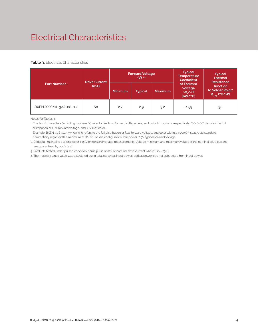### Electrical Characteristics

#### **Table 3: Electrical Characteristics**

|                          | <b>Drive Current</b> | <b>Forward Voltage</b><br>$(V)$ <sup>2.3</sup><br><b>Minimum</b><br><b>Maximum</b><br><b>Typical</b> |     |     |                                                             | <b>Temperature</b><br><b>Coefficient</b>                             |  | <b>Typical</b><br><b>Thermal</b><br><b>Resistance</b> |
|--------------------------|----------------------|------------------------------------------------------------------------------------------------------|-----|-----|-------------------------------------------------------------|----------------------------------------------------------------------|--|-------------------------------------------------------|
| Part Number <sup>1</sup> | (mA)                 |                                                                                                      |     |     | of Forward<br>Voltage<br>$\Delta V \sim \Delta T$<br>(mV/C) | <b>Junction</b><br>to Solder Point <sup>4</sup><br>$R_{j-sp}$ (°C/W) |  |                                                       |
| BXEN-XXX-11L-3AA-00-0-0  | 60                   | 2.7                                                                                                  | 2.9 | 3.2 | $-1.59$                                                     | 30                                                                   |  |                                                       |

Notes for Tables 3:

1. The last 6 characters (including hyphens '-') refer to flux bins, forward voltage bins, and color bin options, respectively. "00-0-00" denotes the full distribution of flux, forward voltage, and 7 SDCM color.

 Example: BXEN-40E-11L-3AA-00-0-0 refers to the full distribution of flux, forward voltage, and color within a 4000K 7-step ANSI standard chromaticity region with a minimum of 80CRI, 1x1 die configuration, low power, 2.9V typical forward voltage.

2. Bridgelux maintains a tolerance of ± 0.1V on forward voltage measurements. Voltage minimum and maximum values at the nominal drive current are guaranteed by 100% test.

3. Products tested under pulsed condition (10ms pulse width) at nominal drive current where Tsp = 25°C.

4. Thermal resistance value was calculated using total electrical input power; optical power was not subtracted from input power.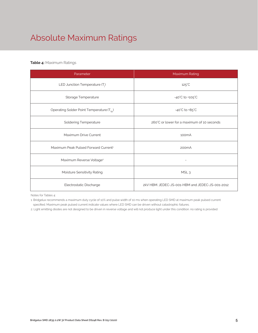# Absolute Maximum Ratings

#### **Table 4:** Maximum Ratings

| Parameter                                             | Maximum Rating                                  |  |  |  |
|-------------------------------------------------------|-------------------------------------------------|--|--|--|
| LED Junction Temperature $(T_i)$                      | $125^{\circ}$ C                                 |  |  |  |
| Storage Temperature                                   | $-40^{\circ}$ C to $+105^{\circ}$ C             |  |  |  |
| Operating Solder Point Temperature (T <sub>Sp</sub> ) | $-40^{\circ}$ C to $+85^{\circ}$ C              |  |  |  |
| <b>Soldering Temperature</b>                          | 260°C or lower for a maximum of 10 seconds      |  |  |  |
| Maximum Drive Current                                 | 100 <sub>m</sub> A                              |  |  |  |
| Maximum Peak Pulsed Forward Current <sup>1</sup>      | 200 <sub>m</sub> A                              |  |  |  |
| Maximum Reverse Voltage <sup>2</sup>                  |                                                 |  |  |  |
| Moisture Sensitivity Rating                           | MSL <sub>3</sub>                                |  |  |  |
| Electrostatic Discharge                               | 2kV HBM. JEDEC-JS-001-HBM and JEDEC-JS-001-2012 |  |  |  |

Notes for Tables 4:

1. Bridgelux recommends a maximum duty cycle of 10% and pulse width of 10 ms when operating LED SMD at maximum peak pulsed current specified. Maximum peak pulsed current indicate values where LED SMD can be driven without catastrophic failures.

2. Light emitting diodes are not designed to be driven in reverse voltage and will not produce light under this condition. no rating is provided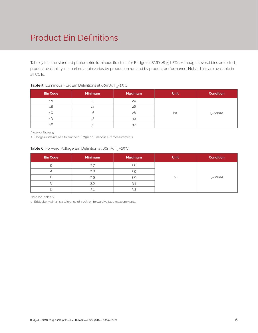### Product Bin Definitions

Table 5 lists the standard photometric luminous flux bins for Bridgelux SMD 2835 LEDs. Although several bins are listed, product availability in a particular bin varies by production run and by product performance. Not all bins are available in all CCTs.

| <b>Bin Code</b> | <b>Minimum</b> | <b>Maximum</b> | <b>Unit</b> | <b>Condition</b> |
|-----------------|----------------|----------------|-------------|------------------|
| 1Α              | 22             | 24             |             |                  |
| 1B              | 24             | 26             |             |                  |
| 1 <sup>C</sup>  | 26             | 28             | lm          | $I_c = 60mA$     |
| 1C              | 28             | 30             |             |                  |
|                 | 30             | 32             |             |                  |

#### **Table 5:** Luminous Flux Bin Definitions at 60mA, T<sub>sp</sub>=25°C

Note for Tables 5:

1. Bridgelux maintains a tolerance of ± 7.5% on luminous flux measurements.

#### **Table 6:** Forward Voltage Bin Definition at 60mA, T<sub>sp</sub>=25°C

| <b>Bin Code</b> | <b>Minimum</b> | <b>Maximum</b> | <b>Unit</b> | <b>Condition</b> |
|-----------------|----------------|----------------|-------------|------------------|
|                 | 2.7            | 2.8            |             |                  |
|                 | 2.8            | 2.9            |             |                  |
| В               | 2.9            | 3.0            |             | $I_{r}$ =60mA    |
|                 | 3.0            | 3.1            |             |                  |
|                 | 3.1            | 3.2            |             |                  |

Note for Tables 6:

1. Bridgelux maintains a tolerance of ± 0.1V on forward voltage measurements.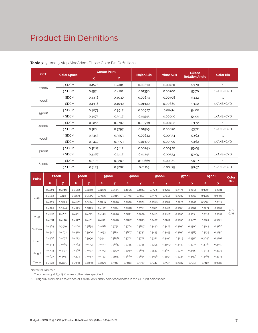### Product Bin Definitions

| <b>CCT</b> |                    |        | <b>Center Point</b> |                   |                   | <b>Ellipse</b>        |              |
|------------|--------------------|--------|---------------------|-------------------|-------------------|-----------------------|--------------|
|            | <b>Color Space</b> | X      | Y                   | <b>Major Axis</b> | <b>Minor Axis</b> | <b>Rotation Angle</b> | Color Bin    |
|            | 3 SDCM             | 0.4578 | 0.4101              | 0.00810           | 0.00420           | 53.70                 | $\mathbf{1}$ |
| 2700K      | 5 SDCM             | 0.4578 | 0.4101              | 0.01350           | 0.00700           | 53.70                 | 1/A/B/C/D    |
|            | 3 SDCM             | 0.4338 | 0.4030              | 0.00834           | 0.00408           | 53.22                 | $\mathbf{1}$ |
| 3000K      | 5 SDCM             | 0.4338 | 0.4030              | 0.01390           | 0.00680           | 53.22                 | 1/A/B/C/D    |
|            | 3 SDCM             | 0.4073 | 0.3917              | 0.00927           | 0.00414           | 54.00                 | $\mathbf{1}$ |
| 3500K      | 5 SDCM             | 0.4073 | 0.3917              | 0.01545           | 0.00690           | 54.00                 | 1/A/B/C/D    |
|            | 3 SDCM             | 0.3818 | 0.3797              | 0.00939           | 0.00402           | 53.72                 | $\mathbf{1}$ |
| 4000K      | 5 SDCM             | 0.3818 | 0.3797              | 0.01565           | 0.00670           | 53.72                 | 1/A/B/C/D    |
|            | 3 SDCM             | 0.3447 | 0.3553              | 0.00822           | 0.00354           | 59.62                 | 1            |
| 5000K      | 5 SDCM             | 0.3447 | 0.3553              | 0.01370           | 0.00590           | 59.62                 | 1/A/B/C/D    |
|            | 3 SDCM             | 0.3287 | 0.3417              | 0.00746           | 0.00320           | 59.09                 | $\mathbf{1}$ |
| 5700K      | 5 SDCM             | 0.3287 | 0.3417              | 0.01243           | 0.00533           | 59.09                 | 1/A/B/C/D    |
|            | 3 SDCM             | 0.3123 | 0.3282              | 0.00669           | 0.00285           | 58.57                 | $\mathbf{1}$ |
| 6500K      | 5 SDCM             | 0.3123 | 0.3282              | 0.01115           | 0.00475           | 58.57                 | 1/A/B/C/D    |

**Table 7:** 3- and 5-step MacAdam Ellipse Color Bin Definitions

| Point       |        | <b>2700K</b> |             | 3000K  |        | 3500K  |        | 4000K  |        | 5000K  |        | 5700K  |        | 6500K  | Color      |
|-------------|--------|--------------|-------------|--------|--------|--------|--------|--------|--------|--------|--------|--------|--------|--------|------------|
|             | x.     | У            | $\mathbf x$ | У      | x      | У      | x      | У      | x      | y      | x      | У      | x      | У      | <b>Bin</b> |
|             | 0.4813 | 0.4319       | 0.4562      | 0.4260 | 0.4299 | 0.4165 | 0.4006 | 0.4044 | 0.3551 | 0.3760 | 0.3376 | 0.3616 | 0.3205 | 0.3481 |            |
| <b>ANSI</b> | 0.4562 | 0.426        | 0.4299      | 0.4165 | 0.3996 | 0.4015 | 0.3736 | 0.3874 | 0.3376 | 0.3616 | 0.3207 | 0.3462 | 0.3028 | 0.3304 |            |
|             | 0.4373 | 0.3893       | 0.4147      | 0.3814 | 0.3889 | 0.3690 | 0.3670 | 0.3578 | 0.3366 | 0.3369 | 0.3222 | 0.3243 | 0.3068 | 0.3113 |            |
|             | 0.4593 | 0.3944       | 0.4373      | 0.3893 | 0.4147 | 0.3814 | 0.3898 | 0.3716 | 0.3515 | 0.3487 | 0.3366 | 0.3369 | 0.3221 | 0.3261 | E/F/       |
|             | 0.4687 | 0.4289       | 0.4431      | 0.4213 | 0.4148 | 0.4090 | 0.3871 | 0.3959 | 0.3463 | 0.3687 | 0.3290 | 0.3538 | 0.3115 | 0.3391 | G/H        |
| V-up        | 0.4618 | 0.4170       | 0.4377      | 0.4101 | 0.4112 | 0.3996 | 0.3847 | 0.3873 | 0.3457 | 0.3617 | 0.3290 | 0.3470 | 0.3124 | 0.3328 |            |
| V-down      | 0.4483 | 0.3919       | 0.4260      | 0.3854 | 0.4018 | 0.3752 | 0.3784 | 0.3647 | 0.3440 | 0.3427 | 0.3290 | 0.3300 | 0.3144 | 0.3186 |            |
|             | 0.4542 | 0.4031       | 0.4310      | 0.3960 | 0.4053 | 0.3844 | 0.3807 | 0.3730 | 0.3445 | 0.3495 | 0.3290 | 0.3369 | 0.3135 | 0.3250 |            |
|             | 0.4468 | 0.4077       | 0.4223      | 0.3990 | 0.3941 | 0.3848 | 0.3702 | 0.3722 | 0.3371 | 0.3490 | 0.3215 | 0.3350 | 0.3048 | 0.3207 |            |
| H-left      | 0.4524 | 0.4089       | 0.4283      | 0.4013 | 0.4012 | 0.3885 | 0.3755 | 0.3755 | 0.3395 | 0.3509 | 0.3240 | 0.3372 | 0.3081 | 0.3240 |            |
|             | 0.4703 | 0.4132       | 0.4468      | 0.4077 | 0.4223 | 0.3990 | 0.3950 | 0.3875 | 0.3533 | 0.3620 | 0.3371 | 0.3490 | 0.3213 | 0.3373 |            |
| H-right     | 0.4632 | 0.4115       | 0.4394      | 0.4052 | 0.4133 | 0.3945 | 0.3880 | 0.3834 | 0.3498 | 0.3592 | 0.3334 | 0.3456 | 0.3165 | 0.3325 |            |
| Center      | 0.4578 | 0.4101       | 0.4338      | 0.4030 | 0.4073 | 0.3917 | 0.3818 | 0.3797 | 0.3447 | 0.3553 | 0.3287 | 0.3417 | 0.3123 | 0.3282 |            |

Notes for Tables 7:

1. Color binning at  $T_{sp}$ =25°C unless otherwise specified

2. Bridgelux maintains a tolerance of ± 0.007 on x and y color coordinates in the CIE 1931 color space.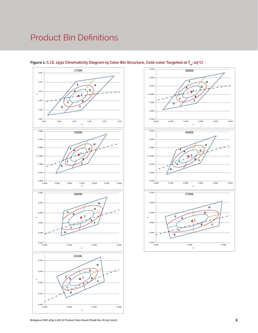### Product Bin Definitions



#### Figure 1: C.I.E. 1931 Chromaticity Diagram (9 Color Bin Structure, Cold-color Targeted at T<sub>sp</sub>=25°C)

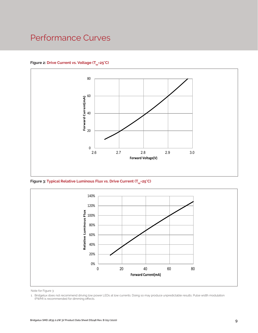### Performance Curves

Figure 2: Drive Current vs. Voltage (T<sub>SD</sub>=25°C)



Figure 3: Typical Relative Luminous Flux vs. Drive Current (T<sub>sp</sub>=25°C)



Note for Figure 3:

<sup>1.</sup> Bridgelux does not recommend driving low power LEDs at low currents. Doing so may produce unpredictable results. Pulse width modulation (PWM) is recommended for dimming effects.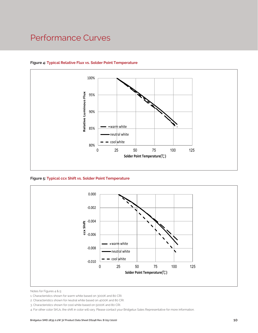### Performance Curves



#### **Figure 4: Typical Relative Flux vs. Solder Point Temperature**

**Figure 5: Typical ccx Shift vs. Solder Point Temperature**



Notes for Figures 4 & 5:

4. For other color SKUs, the shift in color will vary. Please contact your Bridgelux Sales Representative for more information.

<sup>1.</sup> Characteristics shown for warm white based on 3000K and 80 CRI.

<sup>2.</sup> Characteristics shown for neutral white based on 4000K and 80 CRI.

<sup>3.</sup> Characteristics shown for cool white based on 5000K and 80 CRI.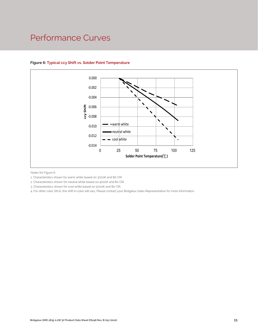### Performance Curves



#### **Figure 6: Typical ccy Shift vs. Solder Point Temperature**

Notes for Figure 6:

- 1. Characteristics shown for warm white based on 3000K and 80 CRI.
- 2. Characteristics shown for neutral white based on 4000K and 80 CRI.
- 3. Characteristics shown for cool white based on 5000K and 80 CRI.

CRI.<br>10 CRI.<br>2RI.<br>your Bridgelux Sales Representative for more information of the Sales Representative for more information 4. For other color SKUs, the shift in color will vary. Please contact your Bridgelux Sales Representative for more information.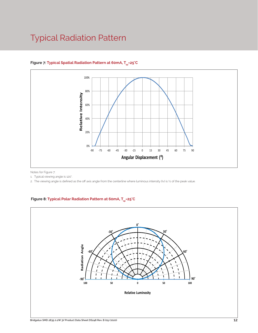### Typical Radiation Pattern



#### Figure 7: Typical Spatial Radiation Pattern at 60mA, T<sub>er</sub>=25°C

Notes for Figure 7:

1. Typical viewing angle is 120°.

2. The viewing angle is defined as the off axis angle from the centerline where luminous intensity (Iv) is ½ of the peak value.

#### Figure 8: Typical Polar Radiation Pattern at 60mA, T<sub>sp</sub>=25°C

.

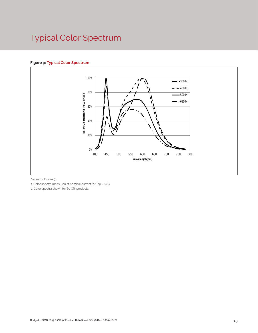# Typical Color Spectrum

#### **Figure 9: Typical Color Spectrum**



Notes for Figure 9:

1. Color spectra measured at nominal current for Tsp = 25°C

2. Color spectra shown for 80 CRI products.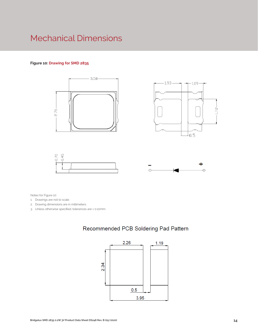### Mechanical Dimensions

#### **Figure 10: Drawing for SMD 2835**









Notes for Figure 10:

- 1. Drawings are not to scale.
- 2. Drawing dimensions are in millimeters.
- 3. Unless otherwise specified, tolerances are ± 0.10mm.

### Recommended PCB Soldering Pad Pattern

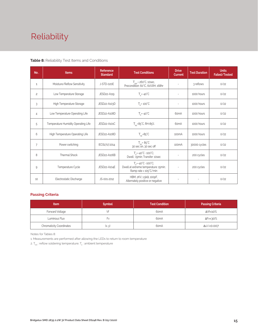# Reliability

#### **Table 8:** Reliability Test Items and Conditions

| No.            | <b>Items</b>                        | <b>Reference</b><br><b>Standard</b> | <b>Test Conditions</b>                                                                                 | <b>Drive</b><br><b>Current</b> | <b>Test Duration</b> | <b>Units</b><br>Failed/Tested |
|----------------|-------------------------------------|-------------------------------------|--------------------------------------------------------------------------------------------------------|--------------------------------|----------------------|-------------------------------|
| 1              | Moisture/Reflow Sensitivity         | J-STD-020E                          | $T_{\text{cld}}$ = 260°C, 10sec,<br>Precondition: 60°C, 60%RH, 168hr                                   | $\sim$                         | 3 reflows            | 0/22                          |
| $\overline{c}$ | Low Temperature Storage             | JESD22-A119                         | $T_a = -40^{\circ}C$                                                                                   | $\bar{a}$                      | 1000 hours           | 0/22                          |
| 3              | High Temperature Storage            | JESD22-A103D                        | $T_a = 100^{\circ}$ C                                                                                  | $\sim$                         | 1000 hours           | 0/22                          |
| 4              | Low Temperature Operating Life      | JESD22-A108D                        | $T_s = -40^{\circ}C$                                                                                   | 60 <sub>m</sub> A              | 1000 hours           | 0/22                          |
| 5              | Temperature Humidity Operating Life | JESD22-A101C                        | $T_{SD} = 85^{\circ}$ C, RH=85%                                                                        | 60 <sub>m</sub> A              | 1000 hours           | 0/22                          |
| 6              | High Temperature Operating Life     | JESD22-A108D                        | $T_{\rm sn} = 85^{\circ}C$                                                                             | 100 <sub>m</sub> A             | 1000 hours           | 0/22                          |
| $\overline{7}$ | Power switching                     | IEC62717:2014                       | $T_{\rm SD} = 85^{\circ}C$<br>30 sec on, 30 sec off                                                    | 100 <sub>m</sub> A             | 30000 cycles         | 0/22                          |
| 8              | <b>Thermal Shock</b>                | JESD22-A106B                        | $T_a = -40^{\circ}C - 100^{\circ}C$ ;<br>Dwell: 15min; Transfer: 10sec                                 | $\sim$                         | 200 cycles           | 0/22                          |
| 9              | Temperature Cycle                   | JESD22-A104E                        | $T_a = -40^{\circ}C - 100^{\circ}C$ ;<br>Dwell at extreme temperature: 15min;<br>Ramp rate < 105°C/min |                                | 200 cycles           | 0/22                          |
| 10             | Electrostatic Discharge             | JS-001-2012                         | HBM, $2KV$ , $1.5k\Omega$ , 100pF,<br>Alternately positive or negative                                 | $\overline{\phantom{a}}$       |                      | 0/22                          |

#### **Passing Criteria**

| <b>Item</b>                     | <b>Symbol</b> | <b>Test Condition</b> | <b>Passing Criteria</b> |
|---------------------------------|---------------|-----------------------|-------------------------|
| Forward Voltage                 |               | 60 <sub>m</sub> A     | ΔVf<10%                 |
| Luminous Flux                   | ۲v            | 60 <sub>m</sub> A     | ΔFν<30%                 |
| <b>Chromaticity Coordinates</b> | (x, y)        | 60 <sub>m</sub> A     | Δu'v'<0.007             |

Notes for Tables 8:

1. Measurements are performed after allowing the LEDs to return to room temperature

2.  $\mathsf{T}_{\mathsf{std}}$  : reflow soldering temperature;  $\mathsf{T}_{\mathsf{g}}$  : ambient temperature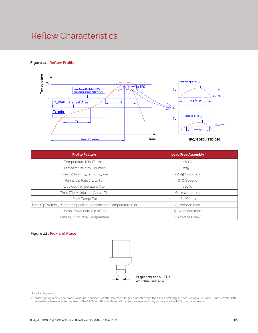### Reflow Characteristics

#### **Figure 11 : Reflow Profile**



| <b>Profile Feature</b>                                                 | <b>Lead Free Assembly</b> |  |  |  |
|------------------------------------------------------------------------|---------------------------|--|--|--|
| Temperature Min. (Ts_min)                                              | $160^{\circ}$ C           |  |  |  |
| Temperature Max. (Ts_max)                                              | $205^{\circ}$ C           |  |  |  |
| Time (ts) from Ts_min to Ts_max                                        | 60-150 seconds            |  |  |  |
| Ramp-Up Rate (TL to Tp)                                                | 3 °C/second               |  |  |  |
| Liquidus Temperature (TL)                                              | 220 °C                    |  |  |  |
| Time (TL) Maintained Above TL                                          | 60-150 seconds            |  |  |  |
| Peak Temp(Tp)                                                          | 260 °C max.               |  |  |  |
| Time (Tp) Within 5 °C of the Specified Classification Temperature (Tc) | 25 seconds max.           |  |  |  |
| Ramp-Down Rate (Tp to TL)                                              | 5 °C/second max.          |  |  |  |
| Time 25 °C to Peak Temperature                                         | 10 minutes max.           |  |  |  |

#### **Figure 12 : Pick and Place**



Note for Figure 12:

1. When using a pick and place machine, choose a nozzle that has a larger diameter than the LED's emitting surface. Using a Pick-and-Place nozzle with a smaller diameter than the size of the LEDs emitting surface will cause damage and may also cause the LED to not illuminate.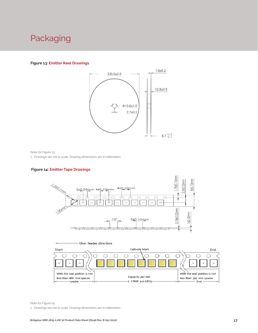### Packaging

#### **Figure 13: Emitter Reel Drawings**



Note for Figure 13:

1. Drawings are not to scale. Drawing dimensions are in millimeters.

#### **Figure 14: Emitter Tape Drawings**





Note for Figure 14:

1. Drawings are not to scale. Drawing dimensions are in millimeters.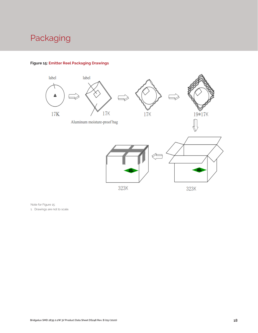### Packaging



#### **Figure 15: Emitter Reel Packaging Drawings**

Note for Figure 15:

1. Drawings are not to scale.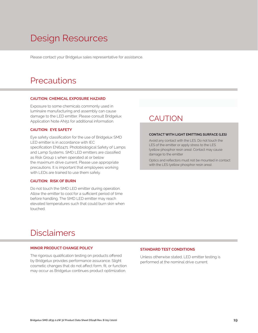# Design Resources

Please contact your Bridgelux sales representative for assistance.

### **Precautions**

#### **CAUTION: CHEMICAL EXPOSURE HAZARD**

Exposure to some chemicals commonly used in luminaire manufacturing and assembly can cause damage to the LED emitter. Please consult Bridgelux Application Note AN51 for additional information.

#### **CAUTION: EYE SAFETY**

Eye safety classification for the use of Bridgelux SMD LED emitter is in accordance with IEC specification EN62471: Photobiological Safety of Lamps and Lamp Systems. SMD LED emitters are classified as Risk Group 1 when operated at or below the maximum drive current. Please use appropriate precautions. It is important that employees working with LEDs are trained to use them safely.

#### **CAUTION: RISK OF BURN**

Do not touch the SMD LED emitter during operation. Allow the emitter to cool for a sufficient period of time before handling. The SMD LED emitter may reach elevated temperatures such that could burn skin when touched.

### **CAUTION**

#### **CONTACT WITH LIGHT EMITTING SURFACE (LES)**

Avoid any contact with the LES. Do not touch the LES of the emitter or apply stress to the LES (yellow phosphor resin area). Contact may cause damage to the emitter

Optics and reflectors must not be mounted in contact with the LES (yellow phosphor resin area).

### Disclaimers

#### **MINOR PRODUCT CHANGE POLICY**

The rigorous qualification testing on products offered by Bridgelux provides performance assurance. Slight cosmetic changes that do not affect form, fit, or function may occur as Bridgelux continues product optimization.

#### **STANDARD TEST CONDITIONS**

Unless otherwise stated, LED emitter testing is performed at the nominal drive current.